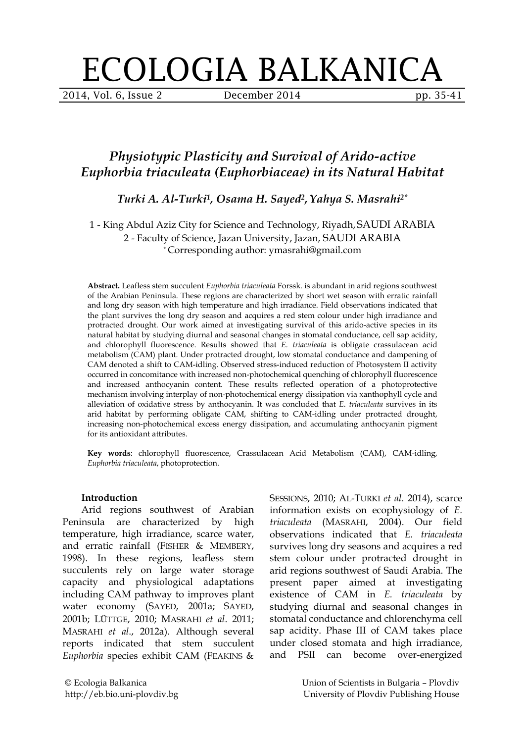# ECOLOGIA BALKANICA

2014, Vol. 6, Issue 2 December 2014 pp. 35-41

# *Physiotypic Plasticity and Survival of Arido-active Euphorbia triaculeata (Euphorbiaceae) in its Natural Habitat*

*Turki A. Al-Turki1, Osama H. Sayed2, Yahya S. Masrahi2\**

1 - King Abdul Aziz City for Science and Technology, Riyadh, SAUDI ARABIA 2 - Faculty of Science, Jazan University, Jazan, SAUDI ARABIA \* Corresponding author: ymasrahi@gmail.com

**Abstract.** Leafless stem succulent *Euphorbia triaculeata* Forssk. is abundant in arid regions southwest of the Arabian Peninsula. These regions are characterized by short wet season with erratic rainfall and long dry season with high temperature and high irradiance. Field observations indicated that the plant survives the long dry season and acquires a red stem colour under high irradiance and protracted drought. Our work aimed at investigating survival of this arido-active species in its natural habitat by studying diurnal and seasonal changes in stomatal conductance, cell sap acidity, and chlorophyll fluorescence. Results showed that *E. triaculeata* is obligate crassulacean acid metabolism (CAM) plant. Under protracted drought, low stomatal conductance and dampening of CAM denoted a shift to CAM-idling. Observed stress-induced reduction of Photosystem II activity occurred in concomitance with increased non-photochemical quenching of chlorophyll fluorescence and increased anthocyanin content. These results reflected operation of a photoprotective mechanism involving interplay of non-photochemical energy dissipation via xanthophyll cycle and alleviation of oxidative stress by anthocyanin. It was concluded that *E. triaculeata* survives in its arid habitat by performing obligate CAM, shifting to CAM-idling under protracted drought, increasing non-photochemical excess energy dissipation, and accumulating anthocyanin pigment for its antioxidant attributes.

**Key words**: chlorophyll fluorescence, Crassulacean Acid Metabolism (CAM), CAM-idling, *Euphorbia triaculeata*, photoprotection.

#### **Introduction**

Arid regions southwest of Arabian Peninsula are characterized by high temperature, high irradiance, scarce water, and erratic rainfall (FISHER & MEMBERY, 1998). In these regions, leafless stem succulents rely on large water storage capacity and physiological adaptations including CAM pathway to improves plant water economy (SAYED, 2001a; SAYED, 2001b; LÜTTGE, 2010; MASRAHI *et al*. 2011; MASRAHI *et al*., 2012a). Although several reports indicated that stem succulent *Euphorbia* species exhibit CAM (FEAKINS &

SESSIONS, 2010; AL-TURKI *et al*. 2014), scarce information exists on ecophysiology of *E. triaculeata* (MASRAHI, 2004). Our field observations indicated that *E. triaculeata* survives long dry seasons and acquires a red stem colour under protracted drought in arid regions southwest of Saudi Arabia. The present paper aimed at investigating existence of CAM in *E. triaculeata* by studying diurnal and seasonal changes in stomatal conductance and chlorenchyma cell sap acidity. Phase III of CAM takes place under closed stomata and high irradiance, and PSII can become over-energized

© Ecologia Balkanica http://eb.bio.uni-plovdiv.bg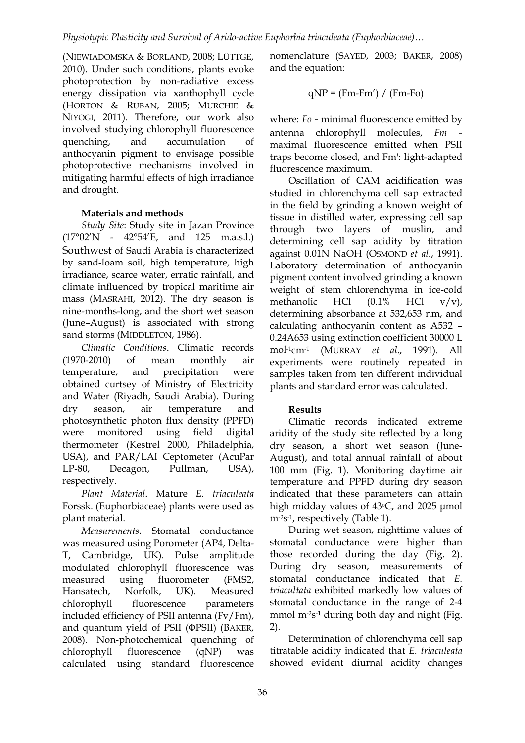(NIEWIADOMSKA & BORLAND, 2008; LÜTTGE, 2010). Under such conditions, plants evoke photoprotection by non-radiative excess energy dissipation via xanthophyll cycle (HORTON & RUBAN, 2005; MURCHIE & NIYOGI, 2011). Therefore, our work also involved studying chlorophyll fluorescence quenching, and accumulation of anthocyanin pigment to envisage possible photoprotective mechanisms involved in mitigating harmful effects of high irradiance and drought.

## **Materials and methods**

*Study Site*: Study site in Jazan Province  $(17^{\circ}02'N - 42^{\circ}54'E, \text{ and } 125 \text{ m.a.s.l.})$ Southwest of Saudi Arabia is characterized by sand-loam soil, high temperature, high irradiance, scarce water, erratic rainfall, and climate influenced by tropical maritime air mass (MASRAHI, 2012). The dry season is nine-months-long, and the short wet season (June–August) is associated with strong sand storms (MIDDLETON, 1986).

*Climatic Conditions*. Climatic records (1970-2010) of mean monthly air temperature, and precipitation were obtained curtsey of Ministry of Electricity and Water (Riyadh, Saudi Arabia). During dry season, air temperature and photosynthetic photon flux density (PPFD) were monitored using field digital thermometer (Kestrel 2000, Philadelphia, USA), and PAR/LAI Ceptometer (AcuPar LP-80, Decagon, Pullman, USA), respectively.

*Plant Material*. Mature *E. triaculeata* Forssk. (Euphorbiaceae) plants were used as plant material.

*Measurements*. Stomatal conductance was measured using Porometer (AP4, Delta-T, Cambridge, UK). Pulse amplitude modulated chlorophyll fluorescence was measured using fluorometer (FMS2, Hansatech, Norfolk, UK). Measured chlorophyll fluorescence parameters included efficiency of PSII antenna (Fv/Fm), and quantum yield of PSII (ΦPSII) (BAKER, 2008). Non-photochemical quenching of chlorophyll fluorescence (qNP) was calculated using standard fluorescence

nomenclature (SAYED, 2003; BAKER, 2008) and the equation:

$$
qNP = (Fm-Fm') / (Fm-Fo)
$$

where: *Fo* - minimal fluorescence emitted by antenna chlorophyll molecules, *Fm* maximal fluorescence emitted when PSII traps become closed, and Fm': light-adapted fluorescence maximum.

Oscillation of CAM acidification was studied in chlorenchyma cell sap extracted in the field by grinding a known weight of tissue in distilled water, expressing cell sap through two layers of muslin, and determining cell sap acidity by titration against 0.01N NaOH (OSMOND *et al.*, 1991). Laboratory determination of anthocyanin pigment content involved grinding a known weight of stem chlorenchyma in ice-cold methanolic HCl (0.1% HCl v/v), determining absorbance at 532,653 nm, and calculating anthocyanin content as A532 – 0.24A653 using extinction coefficient 30000 L mol-1cm-1 (MURRAY *et al.*, 1991). All experiments were routinely repeated in samples taken from ten different individual plants and standard error was calculated.

## **Results**

Climatic records indicated extreme aridity of the study site reflected by a long dry season, a short wet season (June-August), and total annual rainfall of about 100 mm (Fig. 1). Monitoring daytime air temperature and PPFD during dry season indicated that these parameters can attain high midday values of  $43°C$ , and  $2025$  µmol m-2s-1, respectively (Table 1).

During wet season, nighttime values of stomatal conductance were higher than those recorded during the day (Fig. 2). During dry season, measurements of stomatal conductance indicated that *E. triacultata* exhibited markedly low values of stomatal conductance in the range of 2-4 mmol m<sup>-2</sup>s<sup>-1</sup> during both day and night (Fig. 2).

Determination of chlorenchyma cell sap titratable acidity indicated that *E. triaculeata* showed evident diurnal acidity changes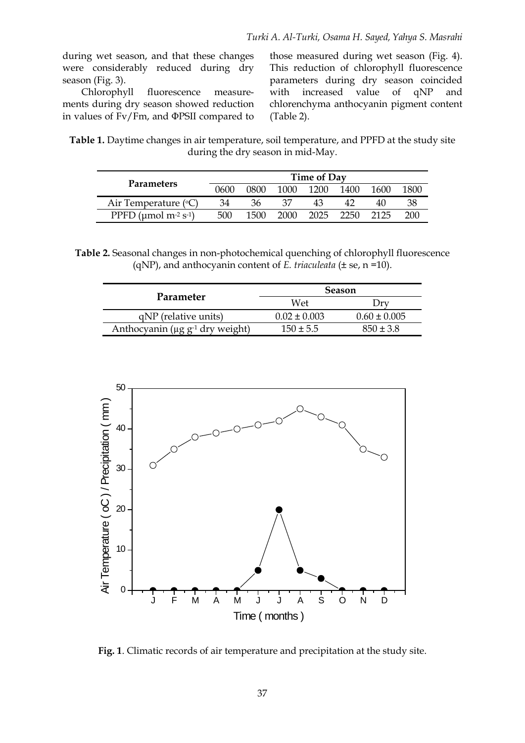during wet season, and that these changes were considerably reduced during dry season (Fig. 3).

Chlorophyll fluorescence measurements during dry season showed reduction in values of Fv/Fm, and ΦPSII compared to those measured during wet season (Fig. 4). This reduction of chlorophyll fluorescence parameters during dry season coincided with increased value of qNP and chlorenchyma anthocyanin pigment content (Table 2).

**Table 1.** Daytime changes in air temperature, soil temperature, and PPFD at the study site during the dry season in mid-May.

| <b>Parameters</b>                                  | <b>Time of Day</b> |      |      |      |      |      |      |
|----------------------------------------------------|--------------------|------|------|------|------|------|------|
|                                                    | 0600               | ി800 | 1000 | 1200 | 1400 | 1600 | 1800 |
| Air Temperature $({}^{\circ}C)$                    | 34                 | 36   |      | 43   |      |      | 38   |
| PPFD ( $\mu$ mol m <sup>-2</sup> s <sup>-1</sup> ) | 500                | 1500 | 2000 | 2025 | 2250 | 2125 | 200  |

**Table 2.** Seasonal changes in non-photochemical quenching of chlorophyll fluorescence (qNP), and anthocyanin content of *E. triaculeata* (± se, n =10).

|                                                   | <b>Season</b>    |                  |  |  |
|---------------------------------------------------|------------------|------------------|--|--|
| Parameter                                         | Wet              |                  |  |  |
| qNP (relative units)                              | $0.02 \pm 0.003$ | $0.60 \pm 0.005$ |  |  |
| Anthocyanin ( $\mu$ g g <sup>-1</sup> dry weight) | $150 \pm 5.5$    | $850 + 3.8$      |  |  |



**Fig. 1**. Climatic records of air temperature and precipitation at the study site.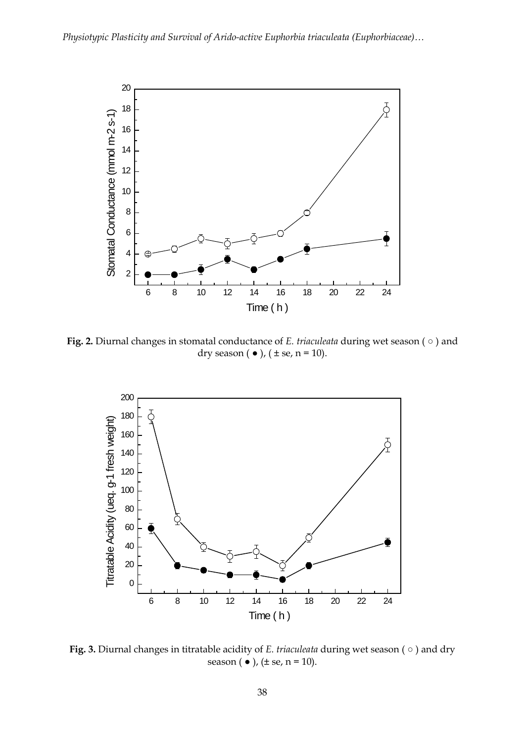

**Fig. 2.** Diurnal changes in stomatal conductance of *E. triaculeata* during wet season ( ○ ) and dry season ( $\bullet$ ), ( $\pm$  se, n = 10).



**Fig. 3.** Diurnal changes in titratable acidity of *E. triaculeata* during wet season ( ○ ) and dry season  $(\bullet)$ ,  $(\pm$  se,  $n = 10)$ .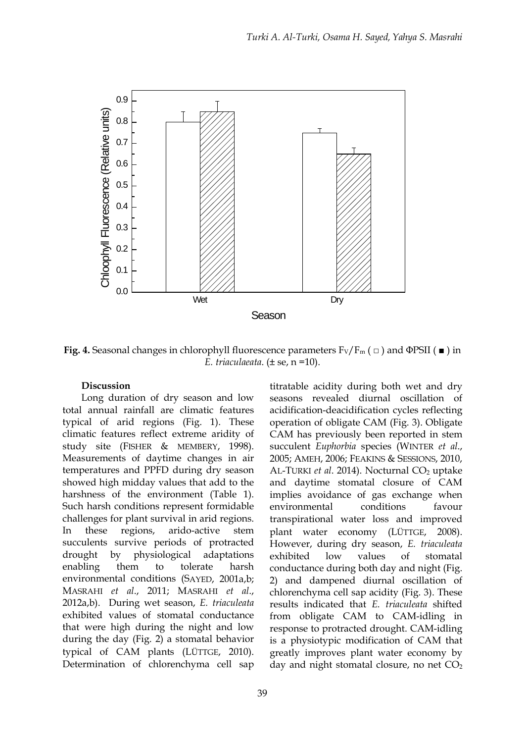

**Fig. 4.** Seasonal changes in chlorophyll fluorescence parameters  $F_V/F_m$  ( $\Box$ ) and  $\Phi$ PSII ( $\blacksquare$ ) in *E. triaculaeata*. (± se, n =10).

#### **Discussion**

Long duration of dry season and low total annual rainfall are climatic features typical of arid regions (Fig. 1). These climatic features reflect extreme aridity of study site (FISHER & MEMBERY, 1998). Measurements of daytime changes in air temperatures and PPFD during dry season showed high midday values that add to the harshness of the environment (Table 1). Such harsh conditions represent formidable challenges for plant survival in arid regions. In these regions, arido-active stem succulents survive periods of protracted drought by physiological adaptations enabling them to tolerate harsh environmental conditions (SAYED, 2001a,b; MASRAHI *et al*., 2011; MASRAHI *et al*., 2012a,b). During wet season, *E. triaculeata* exhibited values of stomatal conductance that were high during the night and low during the day (Fig. 2) a stomatal behavior typical of CAM plants (LÜTTGE, 2010). Determination of chlorenchyma cell sap

titratable acidity during both wet and dry seasons revealed diurnal oscillation of acidification-deacidification cycles reflecting operation of obligate CAM (Fig. 3). Obligate CAM has previously been reported in stem succulent *Euphorbia* species (WINTER *et al*., 2005; AMEH, 2006; FEAKINS & SESSIONS, 2010, AL-TURKI *et al.* 2014). Nocturnal CO<sub>2</sub> uptake and daytime stomatal closure of CAM implies avoidance of gas exchange when environmental conditions favour transpirational water loss and improved plant water economy (LÜTTGE, 2008). However, during dry season, *E. triaculeata* exhibited low values of stomatal conductance during both day and night (Fig. 2) and dampened diurnal oscillation of chlorenchyma cell sap acidity (Fig. 3). These results indicated that *E. triaculeata* shifted from obligate CAM to CAM-idling in response to protracted drought. CAM-idling is a physiotypic modification of CAM that greatly improves plant water economy by day and night stomatal closure, no net  $CO<sub>2</sub>$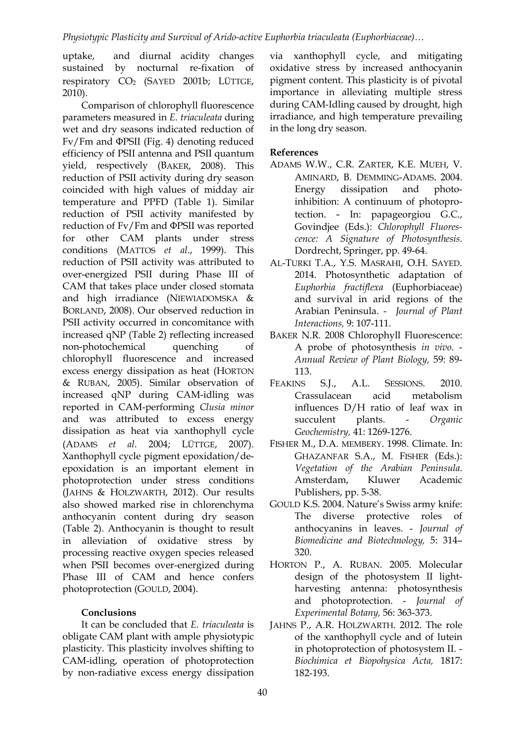uptake, and diurnal acidity changes sustained by nocturnal re-fixation of respiratory CO2 (SAYED 2001b; LÜTTGE, 2010).

Comparison of chlorophyll fluorescence parameters measured in *E. triaculeata* during wet and dry seasons indicated reduction of Fv/Fm and ΦPSII (Fig. 4) denoting reduced efficiency of PSII antenna and PSII quantum yield, respectively (BAKER, 2008). This reduction of PSII activity during dry season coincided with high values of midday air temperature and PPFD (Table 1). Similar reduction of PSII activity manifested by reduction of Fv/Fm and ΦPSII was reported for other CAM plants under stress conditions (MATTOS *et al*., 1999). This reduction of PSII activity was attributed to over-energized PSII during Phase III of CAM that takes place under closed stomata and high irradiance (NIEWIADOMSKA & BORLAND, 2008). Our observed reduction in PSII activity occurred in concomitance with increased qNP (Table 2) reflecting increased non-photochemical quenching of chlorophyll fluorescence and increased excess energy dissipation as heat (HORTON & RUBAN, 2005). Similar observation of increased qNP during CAM-idling was reported in CAM-performing *Clusia minor* and was attributed to excess energy dissipation as heat via xanthophyll cycle (ADAMS *et al*. 2004; LÜTTGE, 2007). Xanthophyll cycle pigment epoxidation/deepoxidation is an important element in photoprotection under stress conditions (JAHNS & HOLZWARTH, 2012). Our results also showed marked rise in chlorenchyma anthocyanin content during dry season (Table 2). Anthocyanin is thought to result in alleviation of oxidative stress by processing reactive oxygen species released when PSII becomes over-energized during Phase III of CAM and hence confers photoprotection (GOULD, 2004).

## **Conclusions**

It can be concluded that *E. triaculeata* is obligate CAM plant with ample physiotypic plasticity. This plasticity involves shifting to CAM-idling, operation of photoprotection by non-radiative excess energy dissipation via xanthophyll cycle, and mitigating oxidative stress by increased anthocyanin pigment content. This plasticity is of pivotal importance in alleviating multiple stress during CAM-Idling caused by drought, high irradiance, and high temperature prevailing in the long dry season.

## **References**

- ADAMS W.W., C.R. ZARTER, K.E. MUEH, V. AMINARD, B. DEMMING-ADAMS. 2004. Energy dissipation and photoinhibition: A continuum of photoprotection. - In: papageorgiou G.C., Govindjee (Eds.): *Chlorophyll Fluorescence: A Signature of Photosynthesis*. Dordrecht, Springer, pp. 49-64.
- AL-TURKI T.A., Y.S. MASRAHI, O.H. SAYED. 2014. Photosynthetic adaptation of *Euphorbia fractiflexa* (Euphorbiaceae) and survival in arid regions of the Arabian Peninsula. - *Journal of Plant Interactions,* 9: 107-111.
- BAKER N.R. 2008 Chlorophyll Fluorescence: A probe of photosynthesis *in vivo*. - *Annual Review of Plant Biology,* 59: 89- 113.
- FEAKINS S.J., A.L. SESSIONS. 2010. Crassulacean acid metabolism influences D/H ratio of leaf wax in succulent plants. - *Organic Geochemistry,* 41: 1269-1276.
- FISHER M., D.A. MEMBERY. 1998. Climate. In: GHAZANFAR S.A., M. FISHER (Eds.): *Vegetation of the Arabian Peninsula*. Amsterdam, Kluwer Academic Publishers, pp. 5-38.
- GOULD K.S. 2004. Nature's Swiss army knife: The diverse protective roles of anthocyanins in leaves. - *Journal of Biomedicine and Biotechnology,* 5: 314– 320.
- HORTON P., A. RUBAN. 2005. Molecular design of the photosystem II lightharvesting antenna: photosynthesis and photoprotection. - *Journal of Experimental Botany,* 56: 363-373.
- JAHNS P., A.R. HOLZWARTH. 2012. The role of the xanthophyll cycle and of lutein in photoprotection of photosystem II. - *Biochimica et Biopohysica Acta,* 1817: 182-193.